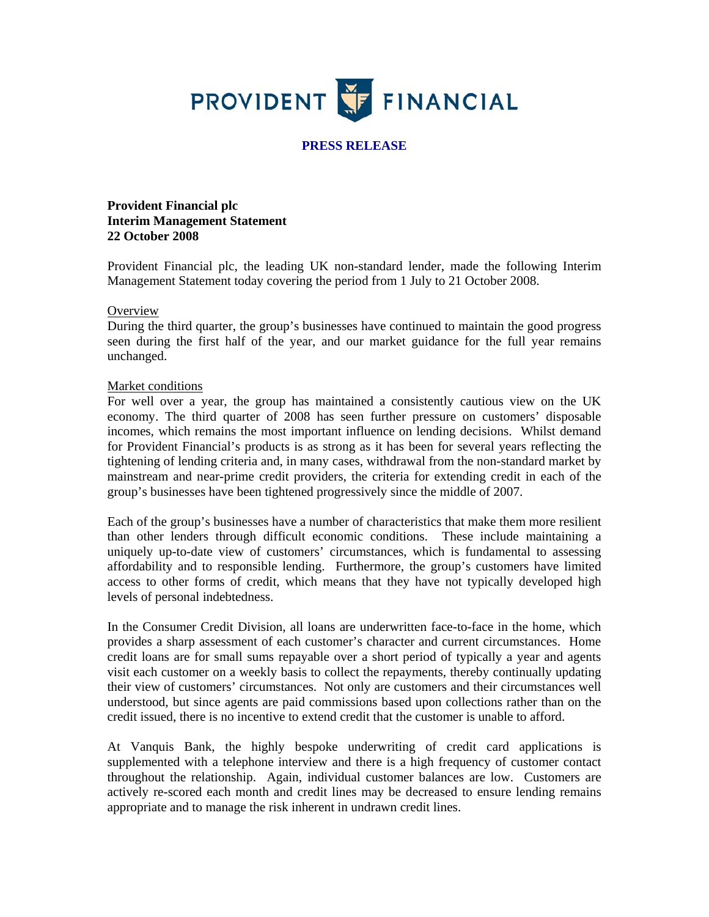

## **PRESS RELEASE**

**Provident Financial plc Interim Management Statement 22 October 2008** 

Provident Financial plc, the leading UK non-standard lender, made the following Interim Management Statement today covering the period from 1 July to 21 October 2008.

#### **Overview**

During the third quarter, the group's businesses have continued to maintain the good progress seen during the first half of the year, and our market guidance for the full year remains unchanged.

#### Market conditions

For well over a year, the group has maintained a consistently cautious view on the UK economy. The third quarter of 2008 has seen further pressure on customers' disposable incomes, which remains the most important influence on lending decisions. Whilst demand for Provident Financial's products is as strong as it has been for several years reflecting the tightening of lending criteria and, in many cases, withdrawal from the non-standard market by mainstream and near-prime credit providers, the criteria for extending credit in each of the group's businesses have been tightened progressively since the middle of 2007.

Each of the group's businesses have a number of characteristics that make them more resilient than other lenders through difficult economic conditions. These include maintaining a uniquely up-to-date view of customers' circumstances, which is fundamental to assessing affordability and to responsible lending. Furthermore, the group's customers have limited access to other forms of credit, which means that they have not typically developed high levels of personal indebtedness.

In the Consumer Credit Division, all loans are underwritten face-to-face in the home, which provides a sharp assessment of each customer's character and current circumstances. Home credit loans are for small sums repayable over a short period of typically a year and agents visit each customer on a weekly basis to collect the repayments, thereby continually updating their view of customers' circumstances. Not only are customers and their circumstances well understood, but since agents are paid commissions based upon collections rather than on the credit issued, there is no incentive to extend credit that the customer is unable to afford.

At Vanquis Bank, the highly bespoke underwriting of credit card applications is supplemented with a telephone interview and there is a high frequency of customer contact throughout the relationship. Again, individual customer balances are low. Customers are actively re-scored each month and credit lines may be decreased to ensure lending remains appropriate and to manage the risk inherent in undrawn credit lines.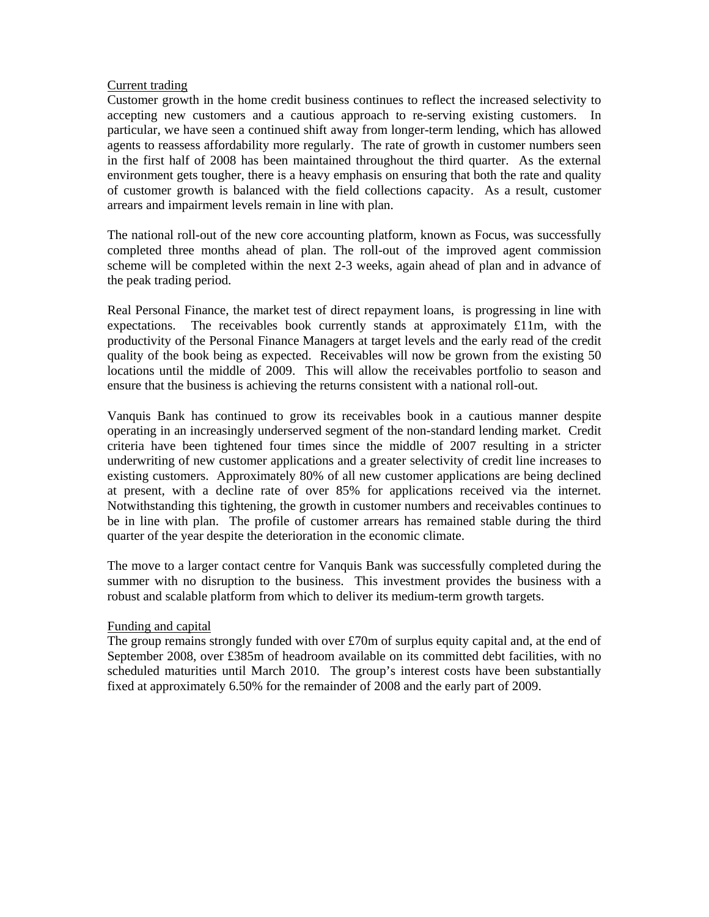### Current trading

Customer growth in the home credit business continues to reflect the increased selectivity to accepting new customers and a cautious approach to re-serving existing customers. In particular, we have seen a continued shift away from longer-term lending, which has allowed agents to reassess affordability more regularly. The rate of growth in customer numbers seen in the first half of 2008 has been maintained throughout the third quarter. As the external environment gets tougher, there is a heavy emphasis on ensuring that both the rate and quality of customer growth is balanced with the field collections capacity. As a result, customer arrears and impairment levels remain in line with plan.

The national roll-out of the new core accounting platform, known as Focus, was successfully completed three months ahead of plan. The roll-out of the improved agent commission scheme will be completed within the next 2-3 weeks, again ahead of plan and in advance of the peak trading period.

Real Personal Finance, the market test of direct repayment loans, is progressing in line with expectations. The receivables book currently stands at approximately £11m, with the productivity of the Personal Finance Managers at target levels and the early read of the credit quality of the book being as expected. Receivables will now be grown from the existing 50 locations until the middle of 2009. This will allow the receivables portfolio to season and ensure that the business is achieving the returns consistent with a national roll-out.

Vanquis Bank has continued to grow its receivables book in a cautious manner despite operating in an increasingly underserved segment of the non-standard lending market. Credit criteria have been tightened four times since the middle of 2007 resulting in a stricter underwriting of new customer applications and a greater selectivity of credit line increases to existing customers. Approximately 80% of all new customer applications are being declined at present, with a decline rate of over 85% for applications received via the internet. Notwithstanding this tightening, the growth in customer numbers and receivables continues to be in line with plan. The profile of customer arrears has remained stable during the third quarter of the year despite the deterioration in the economic climate.

The move to a larger contact centre for Vanquis Bank was successfully completed during the summer with no disruption to the business. This investment provides the business with a robust and scalable platform from which to deliver its medium-term growth targets.

## Funding and capital

The group remains strongly funded with over £70m of surplus equity capital and, at the end of September 2008, over £385m of headroom available on its committed debt facilities, with no scheduled maturities until March 2010. The group's interest costs have been substantially fixed at approximately 6.50% for the remainder of 2008 and the early part of 2009.